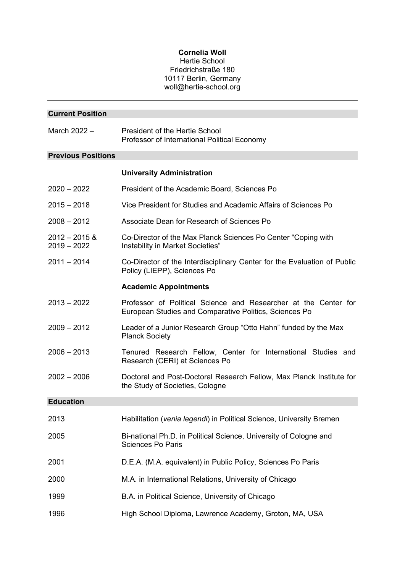## **Cornelia Woll**

## Hertie School Friedrichstraße 180 10117 Berlin, Germany woll@hertie-school.org

| <b>Current Position</b>          |                                                                                                                           |  |  |
|----------------------------------|---------------------------------------------------------------------------------------------------------------------------|--|--|
| March 2022 -                     | <b>President of the Hertie School</b><br>Professor of International Political Economy                                     |  |  |
| <b>Previous Positions</b>        |                                                                                                                           |  |  |
|                                  | <b>University Administration</b>                                                                                          |  |  |
| $2020 - 2022$                    | President of the Academic Board, Sciences Po                                                                              |  |  |
| $2015 - 2018$                    | Vice President for Studies and Academic Affairs of Sciences Po                                                            |  |  |
| $2008 - 2012$                    | Associate Dean for Research of Sciences Po                                                                                |  |  |
| $2012 - 2015$ &<br>$2019 - 2022$ | Co-Director of the Max Planck Sciences Po Center "Coping with<br>Instability in Market Societies"                         |  |  |
| $2011 - 2014$                    | Co-Director of the Interdisciplinary Center for the Evaluation of Public<br>Policy (LIEPP), Sciences Po                   |  |  |
|                                  | <b>Academic Appointments</b>                                                                                              |  |  |
| $2013 - 2022$                    | Professor of Political Science and Researcher at the Center for<br>European Studies and Comparative Politics, Sciences Po |  |  |
| $2009 - 2012$                    | Leader of a Junior Research Group "Otto Hahn" funded by the Max<br><b>Planck Society</b>                                  |  |  |
| $2006 - 2013$                    | Tenured Research Fellow, Center for International Studies and<br>Research (CERI) at Sciences Po                           |  |  |
| $2002 - 2006$                    | Doctoral and Post-Doctoral Research Fellow, Max Planck Institute for<br>the Study of Societies, Cologne                   |  |  |
| <b>Education</b>                 |                                                                                                                           |  |  |
| 2013                             | Habilitation (venia legendi) in Political Science, University Bremen                                                      |  |  |
| 2005                             | Bi-national Ph.D. in Political Science, University of Cologne and<br><b>Sciences Po Paris</b>                             |  |  |
| 2001                             | D.E.A. (M.A. equivalent) in Public Policy, Sciences Po Paris                                                              |  |  |
| 2000                             | M.A. in International Relations, University of Chicago                                                                    |  |  |
| 1999                             | B.A. in Political Science, University of Chicago                                                                          |  |  |
| 1996                             | High School Diploma, Lawrence Academy, Groton, MA, USA                                                                    |  |  |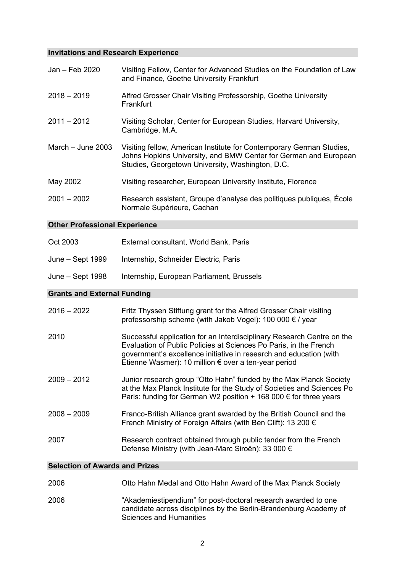# **Invitations and Research Experience**

| Jan - Feb 2020                        | Visiting Fellow, Center for Advanced Studies on the Foundation of Law<br>and Finance, Goethe University Frankfurt                                                                                                                                                         |
|---------------------------------------|---------------------------------------------------------------------------------------------------------------------------------------------------------------------------------------------------------------------------------------------------------------------------|
| $2018 - 2019$                         | Alfred Grosser Chair Visiting Professorship, Goethe University<br>Frankfurt                                                                                                                                                                                               |
| $2011 - 2012$                         | Visiting Scholar, Center for European Studies, Harvard University,<br>Cambridge, M.A.                                                                                                                                                                                     |
| March $-$ June 2003                   | Visiting fellow, American Institute for Contemporary German Studies,<br>Johns Hopkins University, and BMW Center for German and European<br>Studies, Georgetown University, Washington, D.C.                                                                              |
| May 2002                              | Visiting researcher, European University Institute, Florence                                                                                                                                                                                                              |
| $2001 - 2002$                         | Research assistant, Groupe d'analyse des politiques publiques, École<br>Normale Supérieure, Cachan                                                                                                                                                                        |
| <b>Other Professional Experience</b>  |                                                                                                                                                                                                                                                                           |
| Oct 2003                              | External consultant, World Bank, Paris                                                                                                                                                                                                                                    |
| June – Sept 1999                      | Internship, Schneider Electric, Paris                                                                                                                                                                                                                                     |
| June – Sept 1998                      | Internship, European Parliament, Brussels                                                                                                                                                                                                                                 |
|                                       |                                                                                                                                                                                                                                                                           |
| <b>Grants and External Funding</b>    |                                                                                                                                                                                                                                                                           |
| $2016 - 2022$                         | Fritz Thyssen Stiftung grant for the Alfred Grosser Chair visiting<br>professorship scheme (with Jakob Vogel): 100 000 € / year                                                                                                                                           |
| 2010                                  | Successful application for an Interdisciplinary Research Centre on the<br>Evaluation of Public Policies at Sciences Po Paris, in the French<br>government's excellence initiative in research and education (with<br>Etienne Wasmer): 10 million € over a ten-year period |
| $2009 - 2012$                         | Junior research group "Otto Hahn" funded by the Max Planck Society<br>at the Max Planck Institute for the Study of Societies and Sciences Po<br>Paris: funding for German W2 position + 168 000 € for three years                                                         |
| $2008 - 2009$                         | Franco-British Alliance grant awarded by the British Council and the<br>French Ministry of Foreign Affairs (with Ben Clift): 13 200 €                                                                                                                                     |
| 2007                                  | Research contract obtained through public tender from the French<br>Defense Ministry (with Jean-Marc Siroën): 33 000 €                                                                                                                                                    |
| <b>Selection of Awards and Prizes</b> |                                                                                                                                                                                                                                                                           |
| 2006                                  | Otto Hahn Medal and Otto Hahn Award of the Max Planck Society                                                                                                                                                                                                             |

2006 "Akademiestipendium" for post-doctoral research awarded to one candidate across disciplines by the Berlin-Brandenburg Academy of Sciences and Humanities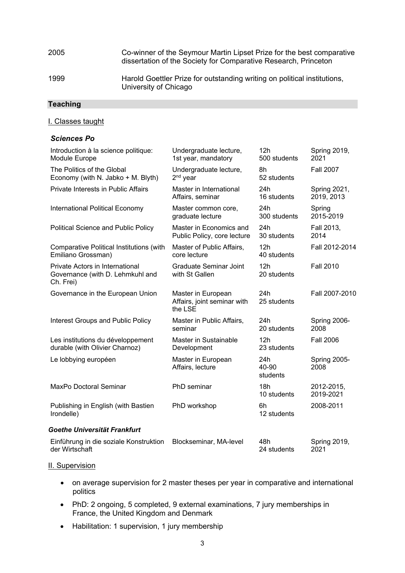| 2005 | Co-winner of the Seymour Martin Lipset Prize for the best comparative<br>dissertation of the Society for Comparative Research, Princeton |
|------|------------------------------------------------------------------------------------------------------------------------------------------|
| 1999 | Harold Goettler Prize for outstanding writing on political institutions,<br>University of Chicago                                        |

## **Teaching**

## I. Classes taught

## *Sciences Po*

| Introduction à la science politique:                                             | Undergraduate lecture,                                       | 12h                            | <b>Spring 2019,</b>     |
|----------------------------------------------------------------------------------|--------------------------------------------------------------|--------------------------------|-------------------------|
| Module Europe                                                                    | 1st year, mandatory                                          | 500 students                   | 2021                    |
| The Politics of the Global                                                       | Undergraduate lecture,                                       | 8h                             | <b>Fall 2007</b>        |
| Economy (with N. Jabko + M. Blyth)                                               | $2nd$ year                                                   | 52 students                    |                         |
| <b>Private Interests in Public Affairs</b>                                       | Master in International                                      | 24h                            | Spring 2021,            |
|                                                                                  | Affairs, seminar                                             | 16 students                    | 2019, 2013              |
| International Political Economy                                                  | Master common core,                                          | 24h                            | Spring                  |
|                                                                                  | graduate lecture                                             | 300 students                   | 2015-2019               |
| <b>Political Science and Public Policy</b>                                       | Master in Economics and                                      | 24h                            | Fall 2013,              |
|                                                                                  | Public Policy, core lecture                                  | 30 students                    | 2014                    |
| <b>Comparative Political Institutions (with</b>                                  | Master of Public Affairs,                                    | 12h                            | Fall 2012-2014          |
| Emiliano Grossman)                                                               | core lecture                                                 | 40 students                    |                         |
| Private Actors in International<br>Governance (with D. Lehmkuhl and<br>Ch. Frei) | <b>Graduate Seminar Joint</b><br>with St Gallen              | 12 <sub>h</sub><br>20 students | <b>Fall 2010</b>        |
| Governance in the European Union                                                 | Master in European<br>Affairs, joint seminar with<br>the LSE | 24h<br>25 students             | Fall 2007-2010          |
| <b>Interest Groups and Public Policy</b>                                         | Master in Public Affairs,                                    | 24h                            | Spring 2006-            |
|                                                                                  | seminar                                                      | 20 students                    | 2008                    |
| Les institutions du développement                                                | Master in Sustainable                                        | 12h                            | <b>Fall 2006</b>        |
| durable (with Olivier Charnoz)                                                   | Development                                                  | 23 students                    |                         |
| Le lobbying européen                                                             | Master in European<br>Affairs, lecture                       | 24h<br>40-90<br>students       | Spring 2005-<br>2008    |
| MaxPo Doctoral Seminar                                                           | PhD seminar                                                  | 18h<br>10 students             | 2012-2015,<br>2019-2021 |
| Publishing in English (with Bastien<br>Irondelle)                                | PhD workshop                                                 | 6h<br>12 students              | 2008-2011               |
| Goethe Universität Frankfurt                                                     |                                                              |                                |                         |
| Einführung in die soziale Konstruktion                                           | Blockseminar, MA-level                                       | 48h                            | Spring 2019,            |
| der Wirtschaft                                                                   |                                                              | 24 students                    | 2021                    |

## II. Supervision

- on average supervision for 2 master theses per year in comparative and international politics
- PhD: 2 ongoing, 5 completed, 9 external examinations, 7 jury memberships in France, the United Kingdom and Denmark
- Habilitation: 1 supervision, 1 jury membership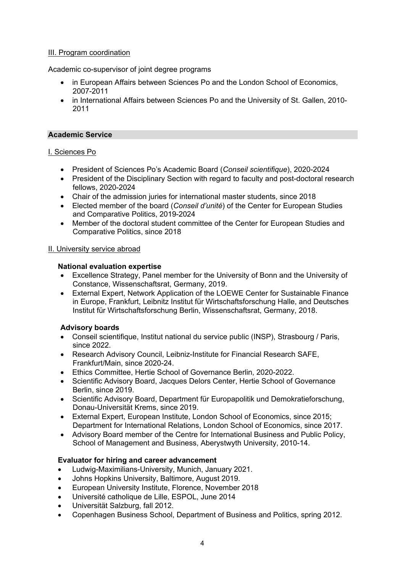## III. Program coordination

Academic co-supervisor of joint degree programs

- in European Affairs between Sciences Po and the London School of Economics, 2007-2011
- in International Affairs between Sciences Po and the University of St. Gallen, 2010-2011

#### **Academic Service**

#### I. Sciences Po

- President of Sciences Po's Academic Board (*Conseil scientifique*), 2020-2024
- President of the Disciplinary Section with regard to faculty and post-doctoral research fellows, 2020-2024
- Chair of the admission juries for international master students, since 2018
- Elected member of the board (*Conseil d'unité*) of the Center for European Studies and Comparative Politics, 2019-2024
- Member of the doctoral student committee of the Center for European Studies and Comparative Politics, since 2018

#### II. University service abroad

#### **National evaluation expertise**

- Excellence Strategy, Panel member for the University of Bonn and the University of Constance, Wissenschaftsrat, Germany, 2019.
- External Expert, Network Application of the LOEWE Center for Sustainable Finance in Europe, Frankfurt, Leibnitz Institut für Wirtschaftsforschung Halle, and Deutsches Institut für Wirtschaftsforschung Berlin, Wissenschaftsrat, Germany, 2018.

## **Advisory boards**

- Conseil scientifique, Institut national du service public (INSP), Strasbourg / Paris, since 2022.
- Research Advisory Council, Leibniz-Institute for Financial Research SAFE, Frankfurt/Main, since 2020-24.
- Ethics Committee, Hertie School of Governance Berlin, 2020-2022.
- Scientific Advisory Board, Jacques Delors Center, Hertie School of Governance Berlin, since 2019.
- Scientific Advisory Board, Department für Europapolitik und Demokratieforschung, Donau-Universität Krems, since 2019.
- External Expert, European Institute, London School of Economics, since 2015; Department for International Relations, London School of Economics, since 2017.
- Advisory Board member of the Centre for International Business and Public Policy, School of Management and Business, Aberystwyth University, 2010-14.

## **Evaluator for hiring and career advancement**

- Ludwig-Maximilians-University, Munich, January 2021.
- Johns Hopkins University, Baltimore, August 2019.
- European University Institute, Florence, November 2018
- Université catholique de Lille, ESPOL, June 2014
- Universität Salzburg, fall 2012.
- Copenhagen Business School, Department of Business and Politics, spring 2012.